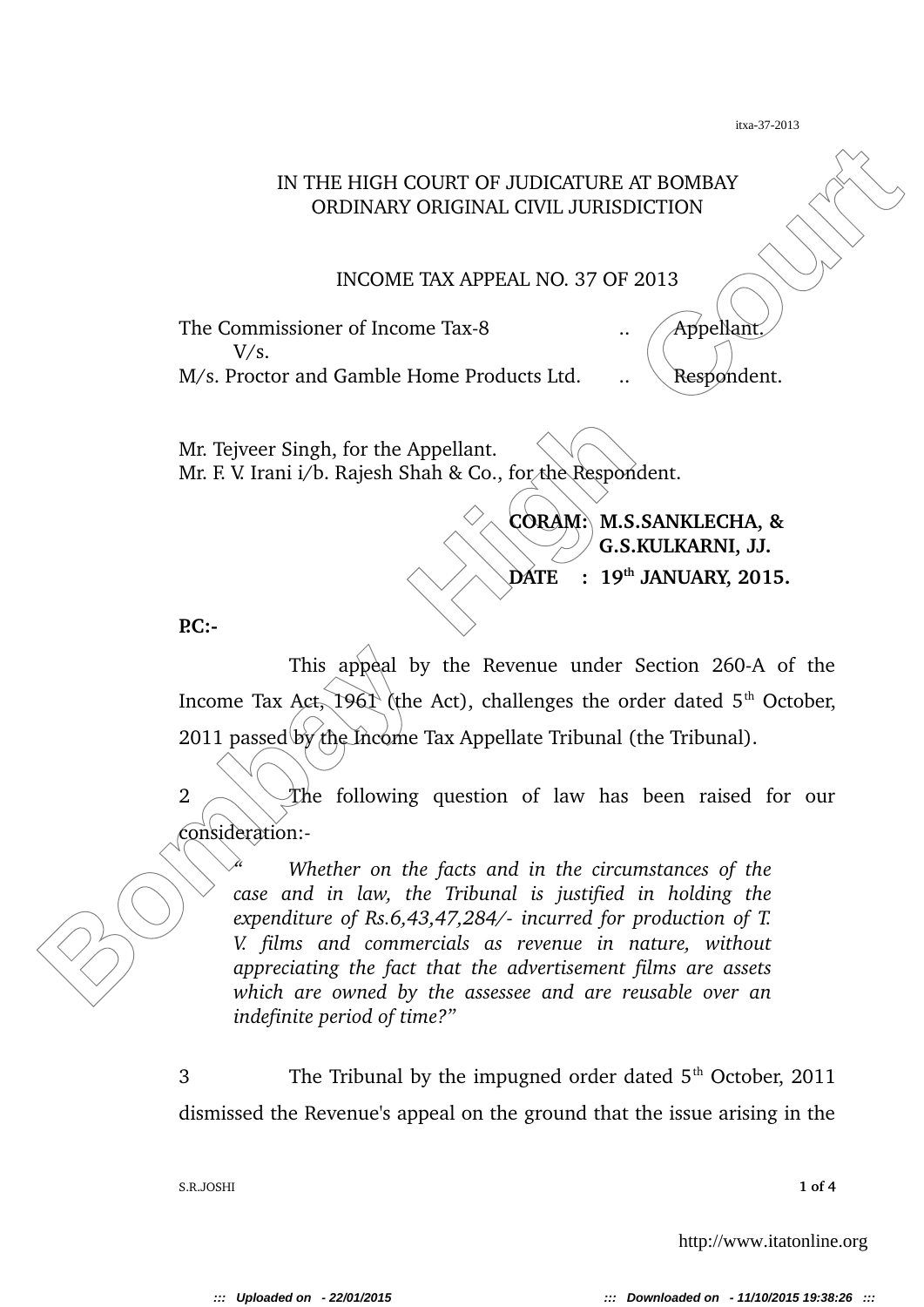## IN THE HIGH COURT OF JUDICATURE AT BOMBAY ORDINARY ORIGINAL CIVIL JURISDICTION

INCOME TAX APPEAL NO. 37 OF 2013

The Commissioner of Income Tax-8 ... / Appellant.  $V/s$ .  $M/s$ . Proctor and Gamble Home Products Ltd.  $\ldots$  Respondent.

Mr. Tejveer Singh, for the Appellant. Mr. F. V. Irani i/b. Rajesh Shah & Co., for the Respondent.

> **CORAM: M.S.SANKLECHA, & G.S.KULKARNI, JJ.**

**DATE : 19th JANUARY, 2015.**

**P.C:**

This appeal by the Revenue under Section 260-A of the Income Tax Act, 1961 (the Act), challenges the order dated  $5<sup>th</sup>$  October,  $2011$  passed by the Income Tax Appellate Tribunal (the Tribunal).

2  $\sim$  The following question of law has been raised for our consideration:

IN THE HIGH COURT OF JUDICATURE AT BOMBAY<br>
ORDINARY ORIGINAL CIVII. JURISDICTION<br>
INCOME TAX APPEAL NO. 37 OF 2013<br>
The Commissioner of Income Tax-8<br>
W.s. Proctor and Gamble Home Products Ltd.<br>
........................... *" Whether on the facts and in the circumstances of the case and in law, the Tribunal is justified in holding the expenditure of Rs.6,43,47,284/ incurred for production of T. V. films and commercials as revenue in nature, without appreciating the fact that the advertisement films are assets which are owned by the assessee and are reusable over an indefinite period of time?"*

> 3 The Tribunal by the impugned order dated  $5<sup>th</sup>$  October, 2011 dismissed the Revenue's appeal on the ground that the issue arising in the

> S.R.JOSHI **1 of 4**

http://www.itatonline.org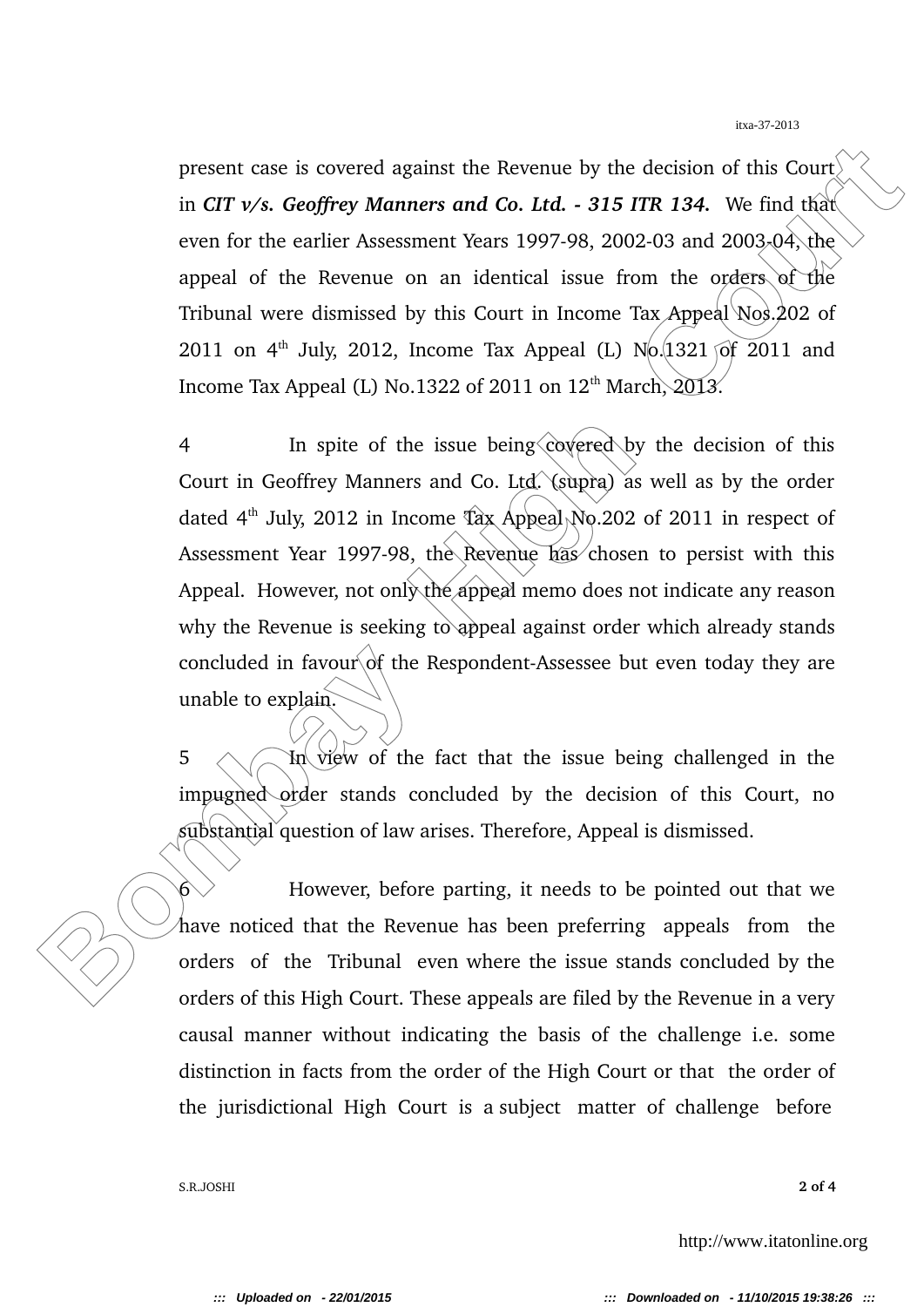present case is covered against the Revenue by the decision of this Court in *CIT v/s. Geoffrey Manners and Co. Ltd. 315 ITR 134.* We find that even for the earlier Assessment Years 1997-98, 2002-03 and 2003-04, the appeal of the Revenue on an identical issue from the orders of the Tribunal were dismissed by this Court in Income Tax Appeal  $N$ os. 202 of 2011 on 4<sup>th</sup> July, 2012, Income Tax Appeal (L)  $N_0$  (1321 of 2011 and Income Tax Appeal (L) No.1322 of 2011 on  $12<sup>th</sup>$  March,  $2013$ .

present case is covered against the Revenue by the decision of this Court<br>in CTT v/s. Geoffrey Manners and Co. Ltd. - 315 ITR 134. We find this<br>cecn for the cartier Assessment Ycars 1997-98, 2002-03 and 2003-04; the<br>appeal 4 In spite of the issue being covered by the decision of this Court in Geoffrey Manners and Co. Ltd. (supra) as well as by the order dated 4<sup>th</sup> July, 2012 in Income Tax Appeal No. 202 of 2011 in respect of Assessment Year 1997-98, the Revenue has chosen to persist with this Appeal. However, not only the appeal memo does not indicate any reason why the Revenue is seeking to appeal against order which already stands concluded in favour of the Respondent-Assessee but even today they are unable to explain.

5  $\wedge$  In view of the fact that the issue being challenged in the impugned order stands concluded by the decision of this Court, no substantial question of law arises. Therefore, Appeal is dismissed.

 $6 \vee$  However, before parting, it needs to be pointed out that we have noticed that the Revenue has been preferring appeals from the orders of the Tribunal even where the issue stands concluded by the orders of this High Court. These appeals are filed by the Revenue in a very causal manner without indicating the basis of the challenge i.e. some distinction in facts from the order of the High Court or that the order of the jurisdictional High Court is a subject matter of challenge before

S.R.JOSHI **2 of 4**

http://www.itatonline.org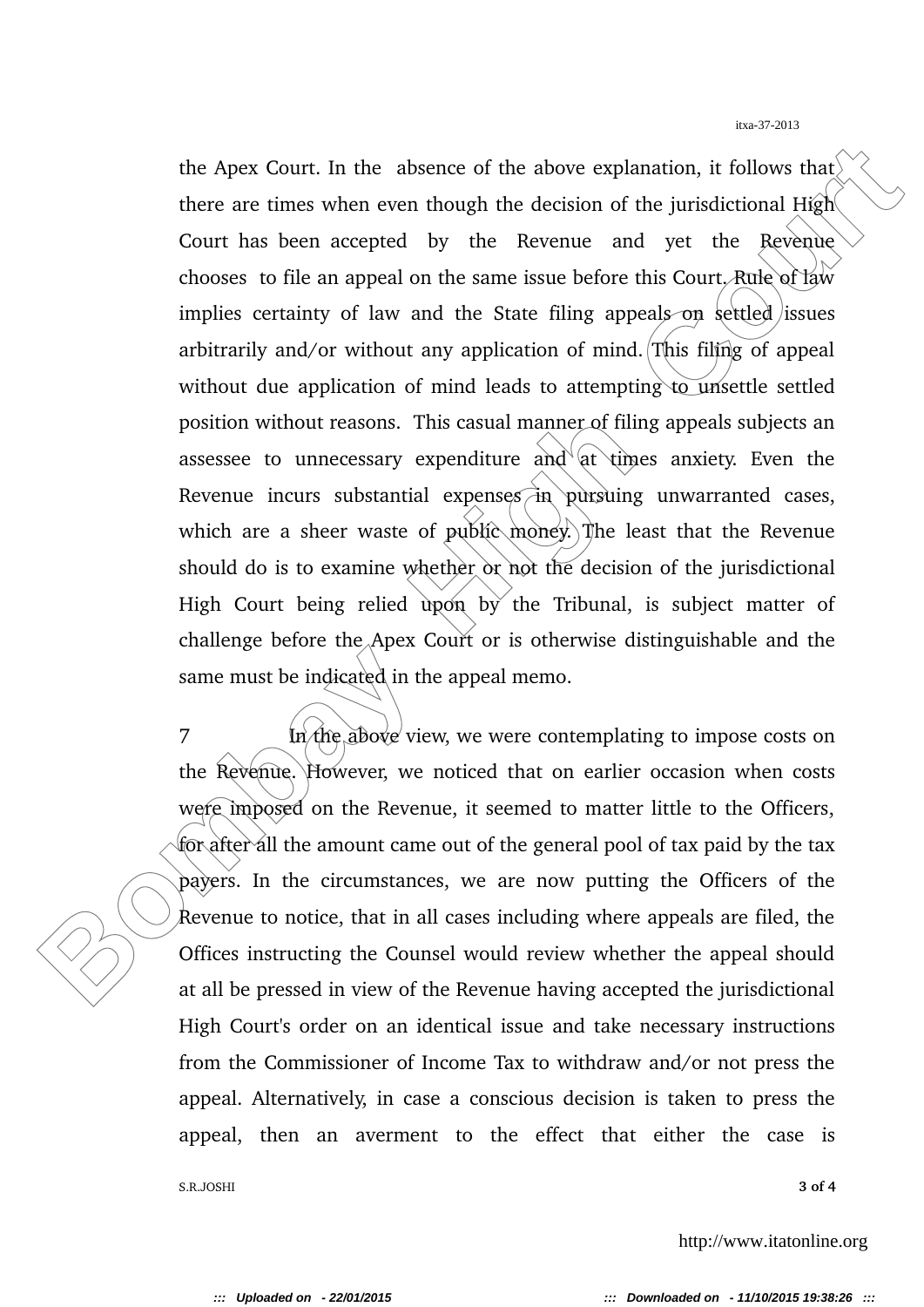the Apex Court. In the absence of the above explanation, it follows that<br>there are times when even though the decision of the jurisdictional High<br>Court has been accepted by the Revenue and yet the Revenue<br>chooses to file a the Apex Court. In the absence of the above explanation, it follows that there are times when even though the decision of the jurisdictional  $H\hat{g}h$ . Court has been accepted by the Revenue and yet the Revenue chooses to file an appeal on the same issue before this Court. Rule of law implies certainty of law and the State filing appeals on settled issues arbitrarily and/or without any application of mind. This filing of appeal without due application of mind leads to attempting to unsettle settled position without reasons. This casual manner of filing appeals subjects an assessee to unnecessary expenditure and  $at$  times anxiety. Even the Revenue incurs substantial expenses  $\overrightarrow{a}$  pursuing unwarranted cases, which are a sheer waste of public money. The least that the Revenue should do is to examine whether or not the decision of the jurisdictional High Court being relied upon by the Tribunal, is subject matter of challenge before the Apex Court or is otherwise distinguishable and the same must be indicated in the appeal memo.

7 In the above view, we were contemplating to impose costs on the Revenue. However, we noticed that on earlier occasion when costs were imposed on the Revenue, it seemed to matter little to the Officers, for after all the amount came out of the general pool of tax paid by the tax payers. In the circumstances, we are now putting the Officers of the Revenue to notice, that in all cases including where appeals are filed, the Offices instructing the Counsel would review whether the appeal should at all be pressed in view of the Revenue having accepted the jurisdictional High Court's order on an identical issue and take necessary instructions from the Commissioner of Income Tax to withdraw and/or not press the appeal. Alternatively, in case a conscious decision is taken to press the appeal, then an averment to the effect that either the case is

S.R.JOSHI **3 of 4**

http://www.itatonline.org